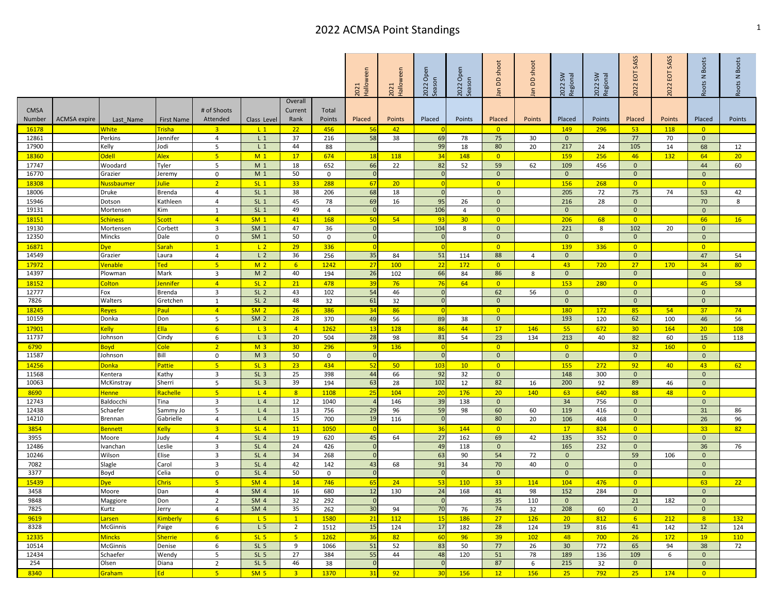## 2022 ACMSA Point Standings 1 and 1 and 2022 ACMSA Point Standings

| Overall<br># of Shoots<br><b>CMSA</b><br>Current<br>Total<br>Number<br>ACMSA expire<br>Attended<br>Rank<br>Points<br>Placed<br>Points<br>Placed<br>Points<br>Placed<br>Points<br>Placed<br>Points<br>Placed<br>Points<br>Placed<br>Last Name<br><b>First Name</b><br>Class Level<br>Trisha<br>3 <sup>2</sup><br>$L_1$<br>22<br>$\overline{\mathbf{0}}$<br>149<br>296<br>53<br>16178<br>White<br>456<br>56<br>42<br>118<br>$\overline{0}$<br>- റ<br>12861<br>4<br>$L_1$<br>37<br>58<br>38<br>69<br>75<br>77<br>$\mathbf{0}$<br>Perkins<br>Jennifer<br>216<br>78<br>30<br>$\overline{0}$<br>70<br>80<br>17900<br>Jodi<br>5<br>$L_1$<br>44<br>99<br>20<br>217<br>105<br>Kelly<br>88<br>18<br>24<br>68<br>14<br>5 <sub>5</sub><br><mark>Odell</mark><br>Alex<br>M <sub>1</sub><br>17 <sup>2</sup><br>$\overline{0}$<br>159<br>256<br>46<br>18360<br>674<br>118<br>34<br>148<br><b>132</b><br>64<br>18<br>17747<br>Tyler<br>5<br>M <sub>1</sub><br>18<br>66<br>22<br>82<br>52<br>59<br>62<br>456<br>$\mathbf{0}$<br>Woodard<br>652<br>109<br>44<br>16770<br>M <sub>1</sub><br>50<br>$\mathbf{0}$<br>$\mathbf{0}$<br>Grazier<br>$\mathbf{0}$<br>Jeremy<br>0<br>$\mathbf{0}$<br>$\mathbf 0$<br>2 <sup>1</sup><br>$SL_1$<br>33 <sup>°</sup><br>$\overline{0}$<br>$\overline{0}$<br>18308<br>Julie<br>288<br>20<br>156<br>268<br>$\overline{0}$<br>Nussbaumer<br>-67<br>$\Omega$<br>$\overline{4}$<br>$SL_1$<br>68<br>$\mathbf{0}$<br>75<br>18006<br>38<br>206<br>18<br>$\overline{0}$<br>205<br>72<br>74<br>53<br>Druke<br><b>Brenda</b><br>4<br>SL <sub>1</sub><br>45<br>69<br>95<br>28<br>70<br>15946<br>Kathleen<br>78<br>16<br>26<br>$\mathbf{0}$<br>216<br>$\mathbf{0}$<br>Dotson<br>19131<br>$SL_1$<br>49<br>106<br>$\mathbf{0}$<br>$\mathbf{0}$<br>$\mathbf{0}$<br>Kim<br>1<br>$\overline{4}$<br>$\overline{0}$<br>Mortensen<br>$\overline{4}$<br>$\Omega$<br>$\overline{4}$<br>SM <sub>1</sub><br>41<br>50<br>54<br>206<br>$\overline{0}$<br>18151<br><b>Scott</b><br>168<br>$-93$<br>30 <sup>2</sup><br>$\overline{0}$<br>68<br>66<br><u>Schiness</u><br>$\overline{3}$<br>19130<br>SM <sub>1</sub><br>47<br>$\overline{0}$<br>104<br>8<br>$\mathbf{0}$<br>221<br>8<br>102<br>20<br>Corbett<br>36<br>$\mathbf{0}$<br>Mortensen<br>SM <sub>1</sub><br>12350<br>50<br>$\mathbf 0$<br>Mincks<br>Dale<br>$\Omega$<br>$\mathbf{0}$<br>$\mathbf{0}$<br>0<br>$\mathbf 0$<br>$\mathbf{0}$<br>$\overline{0}$<br>29<br>$\mathbf{1}$<br>L <sub>2</sub><br>336<br>$\overline{0}$<br>139<br>336<br>$\overline{0}$<br>$\overline{0}$<br>16871<br>)ye<br>Sarah<br>$\Omega$<br>$\overline{0}$<br>14549<br>L <sub>2</sub><br>36<br>35<br>51<br>88<br>$\mathbf{0}$<br>Grazier<br>256<br>$\mathbf{0}$<br>47<br>Laura<br>4<br>84<br>114<br>4<br>5 <sub>1</sub><br>M <sub>2</sub><br><b>Ted</b><br>6 <sup>°</sup><br>1242<br>27<br>100<br>22<br>172<br>$\overline{\mathbf{0}}$<br>27<br>34<br>17972<br><b>Venable</b><br>43<br>720<br><b>170</b><br>M <sub>2</sub><br>86<br>14397<br>Mark<br>40<br>26<br>66<br>Plowman<br>$\overline{\mathbf{3}}$<br>194<br>102<br>84<br>$\mathbf{0}$<br>$\mathbf{0}$<br>$\mathbf{0}$<br>8<br>$\overline{4}$<br>SL <sub>2</sub><br>21<br>$\overline{0}$<br>45<br>18152<br>478<br>39<br>76<br>64<br>$\overline{0}$<br>153<br>280<br>Colton<br><b>Jennifer</b><br>76 | <b>Boots</b><br>Roots N |
|--------------------------------------------------------------------------------------------------------------------------------------------------------------------------------------------------------------------------------------------------------------------------------------------------------------------------------------------------------------------------------------------------------------------------------------------------------------------------------------------------------------------------------------------------------------------------------------------------------------------------------------------------------------------------------------------------------------------------------------------------------------------------------------------------------------------------------------------------------------------------------------------------------------------------------------------------------------------------------------------------------------------------------------------------------------------------------------------------------------------------------------------------------------------------------------------------------------------------------------------------------------------------------------------------------------------------------------------------------------------------------------------------------------------------------------------------------------------------------------------------------------------------------------------------------------------------------------------------------------------------------------------------------------------------------------------------------------------------------------------------------------------------------------------------------------------------------------------------------------------------------------------------------------------------------------------------------------------------------------------------------------------------------------------------------------------------------------------------------------------------------------------------------------------------------------------------------------------------------------------------------------------------------------------------------------------------------------------------------------------------------------------------------------------------------------------------------------------------------------------------------------------------------------------------------------------------------------------------------------------------------------------------------------------------------------------------------------------------------------------------------------------------------------------------------------------------------------------------------------------------------------------------------------------------------------------------------------------------------------------------------------------------------------------------------------------------------------------------------------------------------------------------------------------------------------------------------------------------------------------------------------------------------|-------------------------|
|                                                                                                                                                                                                                                                                                                                                                                                                                                                                                                                                                                                                                                                                                                                                                                                                                                                                                                                                                                                                                                                                                                                                                                                                                                                                                                                                                                                                                                                                                                                                                                                                                                                                                                                                                                                                                                                                                                                                                                                                                                                                                                                                                                                                                                                                                                                                                                                                                                                                                                                                                                                                                                                                                                                                                                                                                                                                                                                                                                                                                                                                                                                                                                                                                                                                                | Points                  |
|                                                                                                                                                                                                                                                                                                                                                                                                                                                                                                                                                                                                                                                                                                                                                                                                                                                                                                                                                                                                                                                                                                                                                                                                                                                                                                                                                                                                                                                                                                                                                                                                                                                                                                                                                                                                                                                                                                                                                                                                                                                                                                                                                                                                                                                                                                                                                                                                                                                                                                                                                                                                                                                                                                                                                                                                                                                                                                                                                                                                                                                                                                                                                                                                                                                                                |                         |
|                                                                                                                                                                                                                                                                                                                                                                                                                                                                                                                                                                                                                                                                                                                                                                                                                                                                                                                                                                                                                                                                                                                                                                                                                                                                                                                                                                                                                                                                                                                                                                                                                                                                                                                                                                                                                                                                                                                                                                                                                                                                                                                                                                                                                                                                                                                                                                                                                                                                                                                                                                                                                                                                                                                                                                                                                                                                                                                                                                                                                                                                                                                                                                                                                                                                                |                         |
|                                                                                                                                                                                                                                                                                                                                                                                                                                                                                                                                                                                                                                                                                                                                                                                                                                                                                                                                                                                                                                                                                                                                                                                                                                                                                                                                                                                                                                                                                                                                                                                                                                                                                                                                                                                                                                                                                                                                                                                                                                                                                                                                                                                                                                                                                                                                                                                                                                                                                                                                                                                                                                                                                                                                                                                                                                                                                                                                                                                                                                                                                                                                                                                                                                                                                | 12                      |
|                                                                                                                                                                                                                                                                                                                                                                                                                                                                                                                                                                                                                                                                                                                                                                                                                                                                                                                                                                                                                                                                                                                                                                                                                                                                                                                                                                                                                                                                                                                                                                                                                                                                                                                                                                                                                                                                                                                                                                                                                                                                                                                                                                                                                                                                                                                                                                                                                                                                                                                                                                                                                                                                                                                                                                                                                                                                                                                                                                                                                                                                                                                                                                                                                                                                                | 20                      |
|                                                                                                                                                                                                                                                                                                                                                                                                                                                                                                                                                                                                                                                                                                                                                                                                                                                                                                                                                                                                                                                                                                                                                                                                                                                                                                                                                                                                                                                                                                                                                                                                                                                                                                                                                                                                                                                                                                                                                                                                                                                                                                                                                                                                                                                                                                                                                                                                                                                                                                                                                                                                                                                                                                                                                                                                                                                                                                                                                                                                                                                                                                                                                                                                                                                                                | 60                      |
|                                                                                                                                                                                                                                                                                                                                                                                                                                                                                                                                                                                                                                                                                                                                                                                                                                                                                                                                                                                                                                                                                                                                                                                                                                                                                                                                                                                                                                                                                                                                                                                                                                                                                                                                                                                                                                                                                                                                                                                                                                                                                                                                                                                                                                                                                                                                                                                                                                                                                                                                                                                                                                                                                                                                                                                                                                                                                                                                                                                                                                                                                                                                                                                                                                                                                |                         |
|                                                                                                                                                                                                                                                                                                                                                                                                                                                                                                                                                                                                                                                                                                                                                                                                                                                                                                                                                                                                                                                                                                                                                                                                                                                                                                                                                                                                                                                                                                                                                                                                                                                                                                                                                                                                                                                                                                                                                                                                                                                                                                                                                                                                                                                                                                                                                                                                                                                                                                                                                                                                                                                                                                                                                                                                                                                                                                                                                                                                                                                                                                                                                                                                                                                                                |                         |
|                                                                                                                                                                                                                                                                                                                                                                                                                                                                                                                                                                                                                                                                                                                                                                                                                                                                                                                                                                                                                                                                                                                                                                                                                                                                                                                                                                                                                                                                                                                                                                                                                                                                                                                                                                                                                                                                                                                                                                                                                                                                                                                                                                                                                                                                                                                                                                                                                                                                                                                                                                                                                                                                                                                                                                                                                                                                                                                                                                                                                                                                                                                                                                                                                                                                                | 42                      |
|                                                                                                                                                                                                                                                                                                                                                                                                                                                                                                                                                                                                                                                                                                                                                                                                                                                                                                                                                                                                                                                                                                                                                                                                                                                                                                                                                                                                                                                                                                                                                                                                                                                                                                                                                                                                                                                                                                                                                                                                                                                                                                                                                                                                                                                                                                                                                                                                                                                                                                                                                                                                                                                                                                                                                                                                                                                                                                                                                                                                                                                                                                                                                                                                                                                                                | 8                       |
|                                                                                                                                                                                                                                                                                                                                                                                                                                                                                                                                                                                                                                                                                                                                                                                                                                                                                                                                                                                                                                                                                                                                                                                                                                                                                                                                                                                                                                                                                                                                                                                                                                                                                                                                                                                                                                                                                                                                                                                                                                                                                                                                                                                                                                                                                                                                                                                                                                                                                                                                                                                                                                                                                                                                                                                                                                                                                                                                                                                                                                                                                                                                                                                                                                                                                | 16                      |
|                                                                                                                                                                                                                                                                                                                                                                                                                                                                                                                                                                                                                                                                                                                                                                                                                                                                                                                                                                                                                                                                                                                                                                                                                                                                                                                                                                                                                                                                                                                                                                                                                                                                                                                                                                                                                                                                                                                                                                                                                                                                                                                                                                                                                                                                                                                                                                                                                                                                                                                                                                                                                                                                                                                                                                                                                                                                                                                                                                                                                                                                                                                                                                                                                                                                                |                         |
|                                                                                                                                                                                                                                                                                                                                                                                                                                                                                                                                                                                                                                                                                                                                                                                                                                                                                                                                                                                                                                                                                                                                                                                                                                                                                                                                                                                                                                                                                                                                                                                                                                                                                                                                                                                                                                                                                                                                                                                                                                                                                                                                                                                                                                                                                                                                                                                                                                                                                                                                                                                                                                                                                                                                                                                                                                                                                                                                                                                                                                                                                                                                                                                                                                                                                |                         |
|                                                                                                                                                                                                                                                                                                                                                                                                                                                                                                                                                                                                                                                                                                                                                                                                                                                                                                                                                                                                                                                                                                                                                                                                                                                                                                                                                                                                                                                                                                                                                                                                                                                                                                                                                                                                                                                                                                                                                                                                                                                                                                                                                                                                                                                                                                                                                                                                                                                                                                                                                                                                                                                                                                                                                                                                                                                                                                                                                                                                                                                                                                                                                                                                                                                                                |                         |
|                                                                                                                                                                                                                                                                                                                                                                                                                                                                                                                                                                                                                                                                                                                                                                                                                                                                                                                                                                                                                                                                                                                                                                                                                                                                                                                                                                                                                                                                                                                                                                                                                                                                                                                                                                                                                                                                                                                                                                                                                                                                                                                                                                                                                                                                                                                                                                                                                                                                                                                                                                                                                                                                                                                                                                                                                                                                                                                                                                                                                                                                                                                                                                                                                                                                                | 54                      |
|                                                                                                                                                                                                                                                                                                                                                                                                                                                                                                                                                                                                                                                                                                                                                                                                                                                                                                                                                                                                                                                                                                                                                                                                                                                                                                                                                                                                                                                                                                                                                                                                                                                                                                                                                                                                                                                                                                                                                                                                                                                                                                                                                                                                                                                                                                                                                                                                                                                                                                                                                                                                                                                                                                                                                                                                                                                                                                                                                                                                                                                                                                                                                                                                                                                                                | 80                      |
|                                                                                                                                                                                                                                                                                                                                                                                                                                                                                                                                                                                                                                                                                                                                                                                                                                                                                                                                                                                                                                                                                                                                                                                                                                                                                                                                                                                                                                                                                                                                                                                                                                                                                                                                                                                                                                                                                                                                                                                                                                                                                                                                                                                                                                                                                                                                                                                                                                                                                                                                                                                                                                                                                                                                                                                                                                                                                                                                                                                                                                                                                                                                                                                                                                                                                |                         |
|                                                                                                                                                                                                                                                                                                                                                                                                                                                                                                                                                                                                                                                                                                                                                                                                                                                                                                                                                                                                                                                                                                                                                                                                                                                                                                                                                                                                                                                                                                                                                                                                                                                                                                                                                                                                                                                                                                                                                                                                                                                                                                                                                                                                                                                                                                                                                                                                                                                                                                                                                                                                                                                                                                                                                                                                                                                                                                                                                                                                                                                                                                                                                                                                                                                                                | 58                      |
| 3<br>SL <sub>2</sub><br>54<br>62<br>12777<br>43<br>46<br>$\Omega$<br>56<br>$\mathbf{0}$<br>Fox<br><b>Brenda</b><br>102<br>$\mathbf{0}$<br>$\mathbf{0}$                                                                                                                                                                                                                                                                                                                                                                                                                                                                                                                                                                                                                                                                                                                                                                                                                                                                                                                                                                                                                                                                                                                                                                                                                                                                                                                                                                                                                                                                                                                                                                                                                                                                                                                                                                                                                                                                                                                                                                                                                                                                                                                                                                                                                                                                                                                                                                                                                                                                                                                                                                                                                                                                                                                                                                                                                                                                                                                                                                                                                                                                                                                         |                         |
| 7826<br>SL <sub>2</sub><br>48<br>61<br>$\mathbf{0}$<br>$\mathbf{0}$<br>Walters<br>Gretchen<br>$\overline{0}$<br>$\mathbf{0}$<br>$\mathbf{0}$<br>32<br>1<br>32                                                                                                                                                                                                                                                                                                                                                                                                                                                                                                                                                                                                                                                                                                                                                                                                                                                                                                                                                                                                                                                                                                                                                                                                                                                                                                                                                                                                                                                                                                                                                                                                                                                                                                                                                                                                                                                                                                                                                                                                                                                                                                                                                                                                                                                                                                                                                                                                                                                                                                                                                                                                                                                                                                                                                                                                                                                                                                                                                                                                                                                                                                                  |                         |
| SM <sub>2</sub><br>18245<br>Paul<br>$\sqrt{4}$<br>26<br>386<br>34<br>86<br>$\overline{0}$<br>$\overline{0}$<br>180<br>172<br>85<br>54<br>37<br>Reyes                                                                                                                                                                                                                                                                                                                                                                                                                                                                                                                                                                                                                                                                                                                                                                                                                                                                                                                                                                                                                                                                                                                                                                                                                                                                                                                                                                                                                                                                                                                                                                                                                                                                                                                                                                                                                                                                                                                                                                                                                                                                                                                                                                                                                                                                                                                                                                                                                                                                                                                                                                                                                                                                                                                                                                                                                                                                                                                                                                                                                                                                                                                           | 74                      |
| 10159<br>SM <sub>2</sub><br>28<br>Don<br>5<br>$\mathbf{0}$<br>193<br>62<br>Donka<br>370<br>49<br>56<br>89<br>38<br>120<br>100<br>46                                                                                                                                                                                                                                                                                                                                                                                                                                                                                                                                                                                                                                                                                                                                                                                                                                                                                                                                                                                                                                                                                                                                                                                                                                                                                                                                                                                                                                                                                                                                                                                                                                                                                                                                                                                                                                                                                                                                                                                                                                                                                                                                                                                                                                                                                                                                                                                                                                                                                                                                                                                                                                                                                                                                                                                                                                                                                                                                                                                                                                                                                                                                            | 56                      |
| 6 <sup>1</sup><br>30<br><b>Ella</b><br>L <sub>3</sub><br>$\overline{4}$<br>13<br>86<br>44<br>17<br>146<br>55<br>672<br>20<br>17901<br>Kelly<br>1262<br><b>128</b><br>164<br>11737<br>L <sub>3</sub><br>20<br>28<br>81<br>23<br>Johnson<br>Cindy<br>6<br>54<br>82<br>504<br>98<br>213<br>40<br>15                                                                                                                                                                                                                                                                                                                                                                                                                                                                                                                                                                                                                                                                                                                                                                                                                                                                                                                                                                                                                                                                                                                                                                                                                                                                                                                                                                                                                                                                                                                                                                                                                                                                                                                                                                                                                                                                                                                                                                                                                                                                                                                                                                                                                                                                                                                                                                                                                                                                                                                                                                                                                                                                                                                                                                                                                                                                                                                                                                               | 108<br>118              |
| 134<br>60<br>2 <sup>2</sup><br>M <sub>3</sub><br>30 <sub>2</sub><br>$\overline{0}$<br>32<br>6790<br>Cole<br>296<br><b>136</b><br>$\overline{0}$<br>160<br>$\overline{0}$<br>Boyd<br>-9<br>$\Omega$                                                                                                                                                                                                                                                                                                                                                                                                                                                                                                                                                                                                                                                                                                                                                                                                                                                                                                                                                                                                                                                                                                                                                                                                                                                                                                                                                                                                                                                                                                                                                                                                                                                                                                                                                                                                                                                                                                                                                                                                                                                                                                                                                                                                                                                                                                                                                                                                                                                                                                                                                                                                                                                                                                                                                                                                                                                                                                                                                                                                                                                                             |                         |
| M <sub>3</sub><br>50<br>11587<br>Bill<br>$\mathbf{0}$<br>$\mathbf{0}$<br>Johnson<br>0<br>$\mathbf{0}$<br>$\mathbf{0}$<br>$\overline{0}$<br>$\mathbf 0$<br>$\Omega$                                                                                                                                                                                                                                                                                                                                                                                                                                                                                                                                                                                                                                                                                                                                                                                                                                                                                                                                                                                                                                                                                                                                                                                                                                                                                                                                                                                                                                                                                                                                                                                                                                                                                                                                                                                                                                                                                                                                                                                                                                                                                                                                                                                                                                                                                                                                                                                                                                                                                                                                                                                                                                                                                                                                                                                                                                                                                                                                                                                                                                                                                                             |                         |
| 5 <sup>2</sup><br>SL <sub>3</sub><br>23<br>50<br>$\overline{0}$<br>155<br>92<br>43<br>14256<br>Pattie<br>434<br>52<br>10<br>272<br>40<br>Donka<br>10 <sub>3</sub>                                                                                                                                                                                                                                                                                                                                                                                                                                                                                                                                                                                                                                                                                                                                                                                                                                                                                                                                                                                                                                                                                                                                                                                                                                                                                                                                                                                                                                                                                                                                                                                                                                                                                                                                                                                                                                                                                                                                                                                                                                                                                                                                                                                                                                                                                                                                                                                                                                                                                                                                                                                                                                                                                                                                                                                                                                                                                                                                                                                                                                                                                                              | 62                      |
| 3<br>SL <sub>3</sub><br>92<br>11568<br>25<br>44<br>66<br>32<br>$\mathbf 0$<br>148<br>$\mathbf{0}$<br>Kathy<br>398<br>300<br>$\mathbf{0}$<br>Kentera                                                                                                                                                                                                                                                                                                                                                                                                                                                                                                                                                                                                                                                                                                                                                                                                                                                                                                                                                                                                                                                                                                                                                                                                                                                                                                                                                                                                                                                                                                                                                                                                                                                                                                                                                                                                                                                                                                                                                                                                                                                                                                                                                                                                                                                                                                                                                                                                                                                                                                                                                                                                                                                                                                                                                                                                                                                                                                                                                                                                                                                                                                                            |                         |
| 10063<br>SL <sub>3</sub><br>39<br>63<br>102<br>82<br>200<br>89<br>Sherri<br>McKinstray<br>5<br>28<br>194<br>12<br>16<br>92<br>46<br>$\overline{0}$                                                                                                                                                                                                                                                                                                                                                                                                                                                                                                                                                                                                                                                                                                                                                                                                                                                                                                                                                                                                                                                                                                                                                                                                                                                                                                                                                                                                                                                                                                                                                                                                                                                                                                                                                                                                                                                                                                                                                                                                                                                                                                                                                                                                                                                                                                                                                                                                                                                                                                                                                                                                                                                                                                                                                                                                                                                                                                                                                                                                                                                                                                                             |                         |
| 5 <sub>o</sub><br>8690<br>Rachelle<br>L <sub>4</sub><br>8<br>25<br>104<br>20<br>176<br>20 <sup>°</sup><br>140<br>63<br>640<br>88<br>48<br>$\overline{0}$<br>1108<br><b>Henne</b>                                                                                                                                                                                                                                                                                                                                                                                                                                                                                                                                                                                                                                                                                                                                                                                                                                                                                                                                                                                                                                                                                                                                                                                                                                                                                                                                                                                                                                                                                                                                                                                                                                                                                                                                                                                                                                                                                                                                                                                                                                                                                                                                                                                                                                                                                                                                                                                                                                                                                                                                                                                                                                                                                                                                                                                                                                                                                                                                                                                                                                                                                               |                         |
| 12743<br>Baldocchi<br>3<br>L <sub>4</sub><br>12<br>1040<br>39<br>138<br>$\mathbf 0$<br>34<br>756<br>$\mathbf{0}$<br>$\mathbf{0}$<br>Tina<br>146                                                                                                                                                                                                                                                                                                                                                                                                                                                                                                                                                                                                                                                                                                                                                                                                                                                                                                                                                                                                                                                                                                                                                                                                                                                                                                                                                                                                                                                                                                                                                                                                                                                                                                                                                                                                                                                                                                                                                                                                                                                                                                                                                                                                                                                                                                                                                                                                                                                                                                                                                                                                                                                                                                                                                                                                                                                                                                                                                                                                                                                                                                                                |                         |
| 5<br>59<br>12438<br>L <sub>4</sub><br>13<br>756<br>29<br>96<br>98<br>60<br>119<br>416<br>$\mathbf{0}$<br>31<br>Schaefer<br>60<br>Sammy Jo                                                                                                                                                                                                                                                                                                                                                                                                                                                                                                                                                                                                                                                                                                                                                                                                                                                                                                                                                                                                                                                                                                                                                                                                                                                                                                                                                                                                                                                                                                                                                                                                                                                                                                                                                                                                                                                                                                                                                                                                                                                                                                                                                                                                                                                                                                                                                                                                                                                                                                                                                                                                                                                                                                                                                                                                                                                                                                                                                                                                                                                                                                                                      | 86                      |
| 14210<br>L <sub>4</sub><br>15<br>19<br>80<br>$\mathbf{0}$<br>Gabrielle<br>$\overline{4}$<br>700<br>116<br>$\overline{0}$<br>20<br>106<br>468<br>26<br>Brennan                                                                                                                                                                                                                                                                                                                                                                                                                                                                                                                                                                                                                                                                                                                                                                                                                                                                                                                                                                                                                                                                                                                                                                                                                                                                                                                                                                                                                                                                                                                                                                                                                                                                                                                                                                                                                                                                                                                                                                                                                                                                                                                                                                                                                                                                                                                                                                                                                                                                                                                                                                                                                                                                                                                                                                                                                                                                                                                                                                                                                                                                                                                  | 96                      |
| 3 <sup>7</sup><br>SL <sub>4</sub><br>17 <sup>2</sup><br>$\overline{0}$<br>33<br>3854<br><b>Kelly</b><br>11<br>1050<br>36<br>144<br>$\overline{0}$<br>824<br><b>Bennett</b>                                                                                                                                                                                                                                                                                                                                                                                                                                                                                                                                                                                                                                                                                                                                                                                                                                                                                                                                                                                                                                                                                                                                                                                                                                                                                                                                                                                                                                                                                                                                                                                                                                                                                                                                                                                                                                                                                                                                                                                                                                                                                                                                                                                                                                                                                                                                                                                                                                                                                                                                                                                                                                                                                                                                                                                                                                                                                                                                                                                                                                                                                                     | 82                      |
| SL <sub>4</sub><br>3955<br>Judy<br>4<br>19<br>620<br>45<br>27<br>162<br>69<br>42<br>135<br>352<br>$\mathbf{0}$<br>$\mathbf{0}$<br>Moore<br>64<br>3<br>12486<br>Leslie<br>SL <sub>4</sub><br>24<br>49<br>165<br>232<br>36<br><b>vanchan</b><br>426<br>$\Omega$<br>118<br>$\mathbf{0}$<br>$\mathbf{0}$                                                                                                                                                                                                                                                                                                                                                                                                                                                                                                                                                                                                                                                                                                                                                                                                                                                                                                                                                                                                                                                                                                                                                                                                                                                                                                                                                                                                                                                                                                                                                                                                                                                                                                                                                                                                                                                                                                                                                                                                                                                                                                                                                                                                                                                                                                                                                                                                                                                                                                                                                                                                                                                                                                                                                                                                                                                                                                                                                                           | 76                      |
| SL <sub>4</sub><br>54<br>Wilson<br>Elise<br>3<br>34<br>63<br>90<br>72<br>59<br>10246<br>268<br>$\Omega$<br>$\mathbf{0}$<br>106<br>$\mathbf{0}$                                                                                                                                                                                                                                                                                                                                                                                                                                                                                                                                                                                                                                                                                                                                                                                                                                                                                                                                                                                                                                                                                                                                                                                                                                                                                                                                                                                                                                                                                                                                                                                                                                                                                                                                                                                                                                                                                                                                                                                                                                                                                                                                                                                                                                                                                                                                                                                                                                                                                                                                                                                                                                                                                                                                                                                                                                                                                                                                                                                                                                                                                                                                 |                         |
| 3<br>SL <sub>4</sub><br>43<br>91<br>7082<br>42<br>68<br>34<br>70<br>40<br>$\mathbf{0}$<br>$\mathbf{0}$<br>Slagle<br>Carol<br>142<br>$\mathbf{0}$                                                                                                                                                                                                                                                                                                                                                                                                                                                                                                                                                                                                                                                                                                                                                                                                                                                                                                                                                                                                                                                                                                                                                                                                                                                                                                                                                                                                                                                                                                                                                                                                                                                                                                                                                                                                                                                                                                                                                                                                                                                                                                                                                                                                                                                                                                                                                                                                                                                                                                                                                                                                                                                                                                                                                                                                                                                                                                                                                                                                                                                                                                                               |                         |
| 50<br>3377<br>SL <sub>4</sub><br>Boyd<br>Celia<br>$\mathbf{0}$<br>$\Omega$<br>$\mathbf{0}$<br>0<br>$\Omega$<br>$\Omega$<br>$\mathbf{0}$<br>$\mathbf 0$                                                                                                                                                                                                                                                                                                                                                                                                                                                                                                                                                                                                                                                                                                                                                                                                                                                                                                                                                                                                                                                                                                                                                                                                                                                                                                                                                                                                                                                                                                                                                                                                                                                                                                                                                                                                                                                                                                                                                                                                                                                                                                                                                                                                                                                                                                                                                                                                                                                                                                                                                                                                                                                                                                                                                                                                                                                                                                                                                                                                                                                                                                                         |                         |
| 5 <sub>1</sub><br>$\overline{0}$<br><b>SM 4</b><br>14<br>746<br>33 <sup>°</sup><br>63<br>15439<br><b>Chris</b><br>65<br>24<br>53<br><b>110</b><br>114<br>104<br>476<br><u>Dye</u>                                                                                                                                                                                                                                                                                                                                                                                                                                                                                                                                                                                                                                                                                                                                                                                                                                                                                                                                                                                                                                                                                                                                                                                                                                                                                                                                                                                                                                                                                                                                                                                                                                                                                                                                                                                                                                                                                                                                                                                                                                                                                                                                                                                                                                                                                                                                                                                                                                                                                                                                                                                                                                                                                                                                                                                                                                                                                                                                                                                                                                                                                              | 22                      |
| SM <sub>4</sub><br>680<br>152<br>3458<br>16<br>12<br>130<br>24<br>168<br>41<br>98<br>284<br>$\mathbf{0}$<br>Moore<br>Dan<br>$\overline{4}$<br>$\Omega$                                                                                                                                                                                                                                                                                                                                                                                                                                                                                                                                                                                                                                                                                                                                                                                                                                                                                                                                                                                                                                                                                                                                                                                                                                                                                                                                                                                                                                                                                                                                                                                                                                                                                                                                                                                                                                                                                                                                                                                                                                                                                                                                                                                                                                                                                                                                                                                                                                                                                                                                                                                                                                                                                                                                                                                                                                                                                                                                                                                                                                                                                                                         |                         |
| Maggiore<br>$\overline{2}$<br>32<br>$\overline{0}$<br>35<br>182<br>9848<br>Don<br>SM <sub>4</sub><br>292<br>$\Omega$<br>110<br>$\mathbf{0}$<br>21<br>$\mathbf{0}$                                                                                                                                                                                                                                                                                                                                                                                                                                                                                                                                                                                                                                                                                                                                                                                                                                                                                                                                                                                                                                                                                                                                                                                                                                                                                                                                                                                                                                                                                                                                                                                                                                                                                                                                                                                                                                                                                                                                                                                                                                                                                                                                                                                                                                                                                                                                                                                                                                                                                                                                                                                                                                                                                                                                                                                                                                                                                                                                                                                                                                                                                                              |                         |
| SM <sub>4</sub><br>35<br>74<br>7825<br>Kurtz<br>$\overline{4}$<br>30<br>94<br>70<br>76<br>32<br>208<br>60<br>$\mathbf{0}$<br>$\mathbf{0}$<br>Jerry<br>262                                                                                                                                                                                                                                                                                                                                                                                                                                                                                                                                                                                                                                                                                                                                                                                                                                                                                                                                                                                                                                                                                                                                                                                                                                                                                                                                                                                                                                                                                                                                                                                                                                                                                                                                                                                                                                                                                                                                                                                                                                                                                                                                                                                                                                                                                                                                                                                                                                                                                                                                                                                                                                                                                                                                                                                                                                                                                                                                                                                                                                                                                                                      |                         |
| 9619<br>6 <sup>°</sup><br>$L$ 5<br>1580<br>21<br>112<br>186<br>27<br>126<br>20 <sub>2</sub><br>812<br>6 <sup>°</sup><br>212<br>8<br>Kimberly<br>$\mathbf{1}$<br><b>15</b><br>Larsen                                                                                                                                                                                                                                                                                                                                                                                                                                                                                                                                                                                                                                                                                                                                                                                                                                                                                                                                                                                                                                                                                                                                                                                                                                                                                                                                                                                                                                                                                                                                                                                                                                                                                                                                                                                                                                                                                                                                                                                                                                                                                                                                                                                                                                                                                                                                                                                                                                                                                                                                                                                                                                                                                                                                                                                                                                                                                                                                                                                                                                                                                            | 132                     |
| L <sub>5</sub><br>28<br>8328<br>McGinnis<br>Paige<br>$\overline{2}$<br>15<br>17<br>19<br>41<br>12<br>6<br>1512<br>124<br>182<br>124<br>816<br>142                                                                                                                                                                                                                                                                                                                                                                                                                                                                                                                                                                                                                                                                                                                                                                                                                                                                                                                                                                                                                                                                                                                                                                                                                                                                                                                                                                                                                                                                                                                                                                                                                                                                                                                                                                                                                                                                                                                                                                                                                                                                                                                                                                                                                                                                                                                                                                                                                                                                                                                                                                                                                                                                                                                                                                                                                                                                                                                                                                                                                                                                                                                              | 124                     |
| 39<br>26<br>Mincks<br>6 <sup>1</sup><br>SL <sub>5</sub><br>5 <sub>1</sub><br>82<br>96<br>102<br>48<br>172<br>12335<br><b>Sherrie</b><br>1262<br>36<br>60<br>700<br>19                                                                                                                                                                                                                                                                                                                                                                                                                                                                                                                                                                                                                                                                                                                                                                                                                                                                                                                                                                                                                                                                                                                                                                                                                                                                                                                                                                                                                                                                                                                                                                                                                                                                                                                                                                                                                                                                                                                                                                                                                                                                                                                                                                                                                                                                                                                                                                                                                                                                                                                                                                                                                                                                                                                                                                                                                                                                                                                                                                                                                                                                                                          | <b>110</b>              |
| 6<br>SL <sub>5</sub><br>51<br>94<br>10514<br>McGinnis<br>9<br>52<br>83<br>50<br>77<br>26<br>30<br>772<br>65<br>38<br>Denise<br>1066<br>SL <sub>5</sub><br>5<br>27<br>55<br>51<br>78<br>48<br>$\overline{0}$                                                                                                                                                                                                                                                                                                                                                                                                                                                                                                                                                                                                                                                                                                                                                                                                                                                                                                                                                                                                                                                                                                                                                                                                                                                                                                                                                                                                                                                                                                                                                                                                                                                                                                                                                                                                                                                                                                                                                                                                                                                                                                                                                                                                                                                                                                                                                                                                                                                                                                                                                                                                                                                                                                                                                                                                                                                                                                                                                                                                                                                                    | 72                      |
| 12434<br>Schaefer<br>384<br>44<br>120<br>189<br>136<br>109<br>6<br>Wendy<br>87<br>254<br>SL <sub>5</sub><br>46<br>Olsen<br>Diana<br>$\overline{2}$<br>$\Omega$<br>215<br>$\mathbf{0}$<br>$\Omega$<br>6<br>32<br>$\mathbf{0}$<br>38                                                                                                                                                                                                                                                                                                                                                                                                                                                                                                                                                                                                                                                                                                                                                                                                                                                                                                                                                                                                                                                                                                                                                                                                                                                                                                                                                                                                                                                                                                                                                                                                                                                                                                                                                                                                                                                                                                                                                                                                                                                                                                                                                                                                                                                                                                                                                                                                                                                                                                                                                                                                                                                                                                                                                                                                                                                                                                                                                                                                                                             |                         |
| Ed<br>5 <sup>2</sup><br>SM <sub>5</sub><br>12<br>156<br>792<br>25<br>$\overline{0}$<br>3 <sup>2</sup><br>1370<br>92<br>156<br>25<br>174<br>8340<br>Graham<br>31<br>30 <sup>1</sup>                                                                                                                                                                                                                                                                                                                                                                                                                                                                                                                                                                                                                                                                                                                                                                                                                                                                                                                                                                                                                                                                                                                                                                                                                                                                                                                                                                                                                                                                                                                                                                                                                                                                                                                                                                                                                                                                                                                                                                                                                                                                                                                                                                                                                                                                                                                                                                                                                                                                                                                                                                                                                                                                                                                                                                                                                                                                                                                                                                                                                                                                                             |                         |